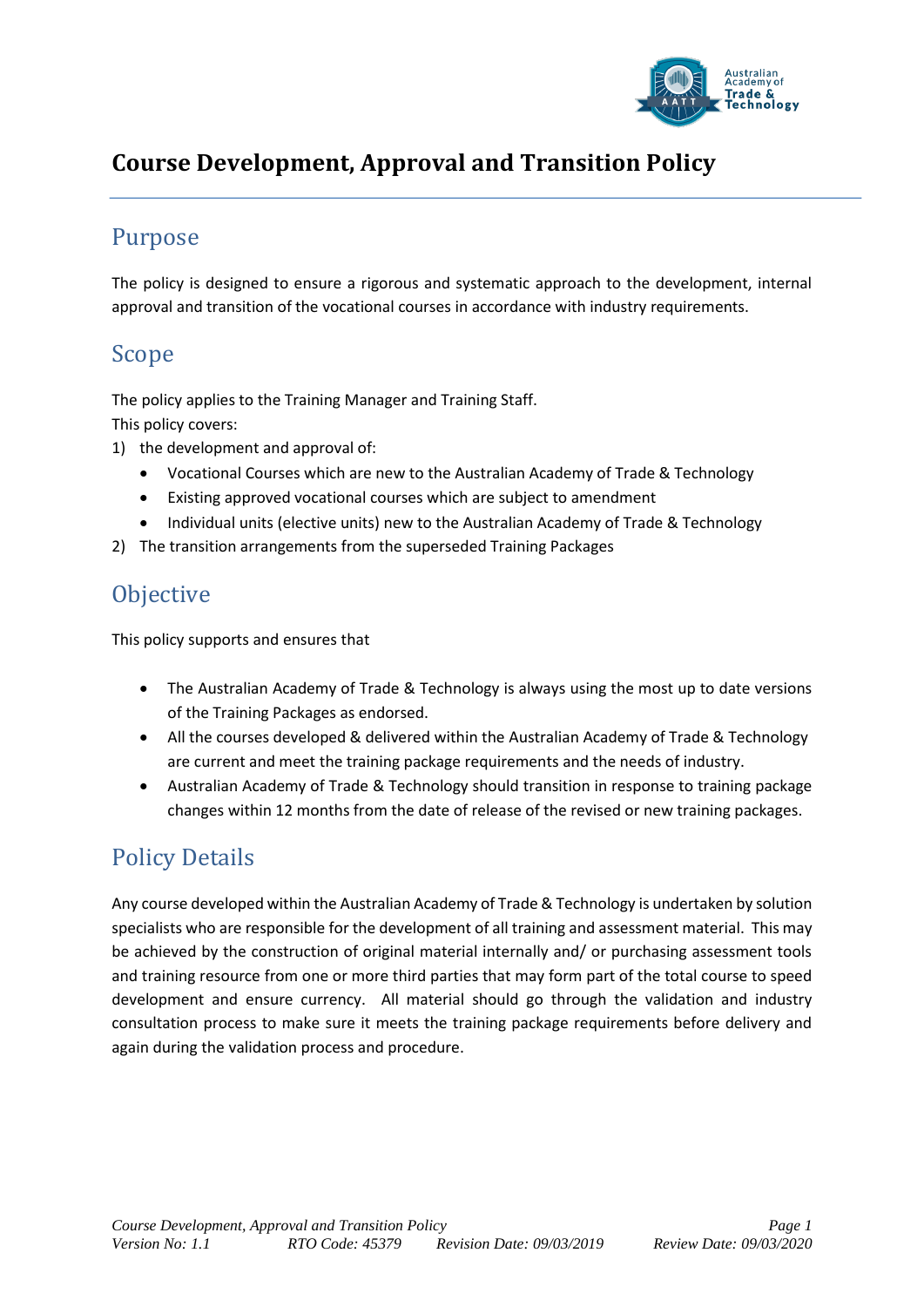

## **Course Development, Approval and Transition Policy**

#### Purpose

The policy is designed to ensure a rigorous and systematic approach to the development, internal approval and transition of the vocational courses in accordance with industry requirements.

#### Scope

The policy applies to the Training Manager and Training Staff. This policy covers:

- 1) the development and approval of:
	- Vocational Courses which are new to the Australian Academy of Trade & Technology
	- Existing approved vocational courses which are subject to amendment
	- Individual units (elective units) new to the Australian Academy of Trade & Technology
- 2) The transition arrangements from the superseded Training Packages

## **Objective**

This policy supports and ensures that

- The Australian Academy of Trade & Technology is always using the most up to date versions of the Training Packages as endorsed.
- All the courses developed & delivered within the Australian Academy of Trade & Technology are current and meet the training package requirements and the needs of industry.
- Australian Academy of Trade & Technology should transition in response to training package changes within 12 months from the date of release of the revised or new training packages.

# Policy Details

Any course developed within the Australian Academy of Trade & Technology is undertaken by solution specialists who are responsible for the development of all training and assessment material. This may be achieved by the construction of original material internally and/ or purchasing assessment tools and training resource from one or more third parties that may form part of the total course to speed development and ensure currency. All material should go through the validation and industry consultation process to make sure it meets the training package requirements before delivery and again during the validation process and procedure.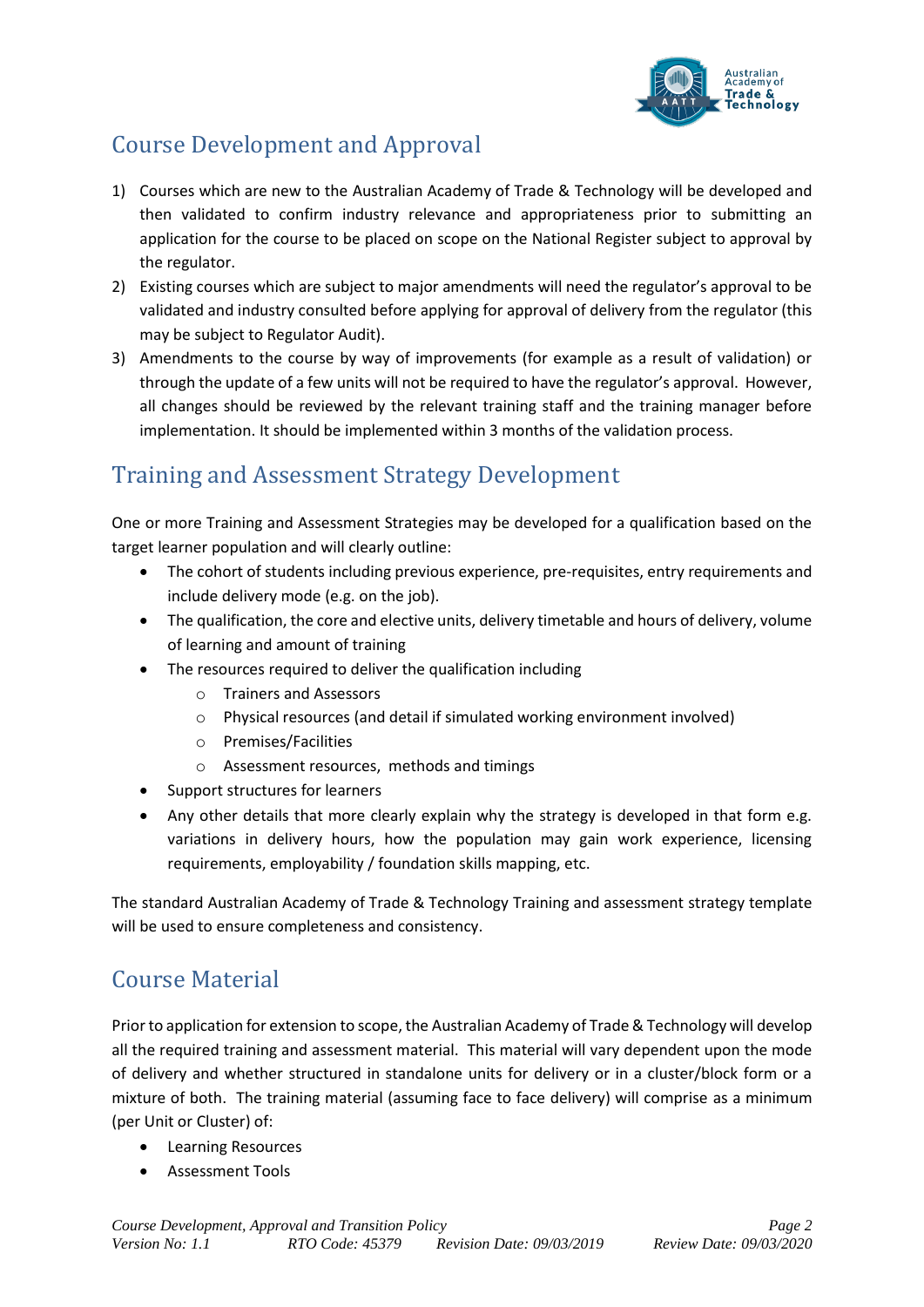

# Course Development and Approval

- 1) Courses which are new to the Australian Academy of Trade & Technology will be developed and then validated to confirm industry relevance and appropriateness prior to submitting an application for the course to be placed on scope on the National Register subject to approval by the regulator.
- 2) Existing courses which are subject to major amendments will need the regulator's approval to be validated and industry consulted before applying for approval of delivery from the regulator (this may be subject to Regulator Audit).
- 3) Amendments to the course by way of improvements (for example as a result of validation) or through the update of a few units will not be required to have the regulator's approval. However, all changes should be reviewed by the relevant training staff and the training manager before implementation. It should be implemented within 3 months of the validation process.

## Training and Assessment Strategy Development

One or more Training and Assessment Strategies may be developed for a qualification based on the target learner population and will clearly outline:

- The cohort of students including previous experience, pre-requisites, entry requirements and include delivery mode (e.g. on the job).
- The qualification, the core and elective units, delivery timetable and hours of delivery, volume of learning and amount of training
- The resources required to deliver the qualification including
	- o Trainers and Assessors
	- o Physical resources (and detail if simulated working environment involved)
	- o Premises/Facilities
	- o Assessment resources, methods and timings
- Support structures for learners
- Any other details that more clearly explain why the strategy is developed in that form e.g. variations in delivery hours, how the population may gain work experience, licensing requirements, employability / foundation skills mapping, etc.

The standard Australian Academy of Trade & Technology Training and assessment strategy template will be used to ensure completeness and consistency.

## Course Material

Prior to application for extension to scope, the Australian Academy of Trade & Technology will develop all the required training and assessment material. This material will vary dependent upon the mode of delivery and whether structured in standalone units for delivery or in a cluster/block form or a mixture of both. The training material (assuming face to face delivery) will comprise as a minimum (per Unit or Cluster) of:

- Learning Resources
- Assessment Tools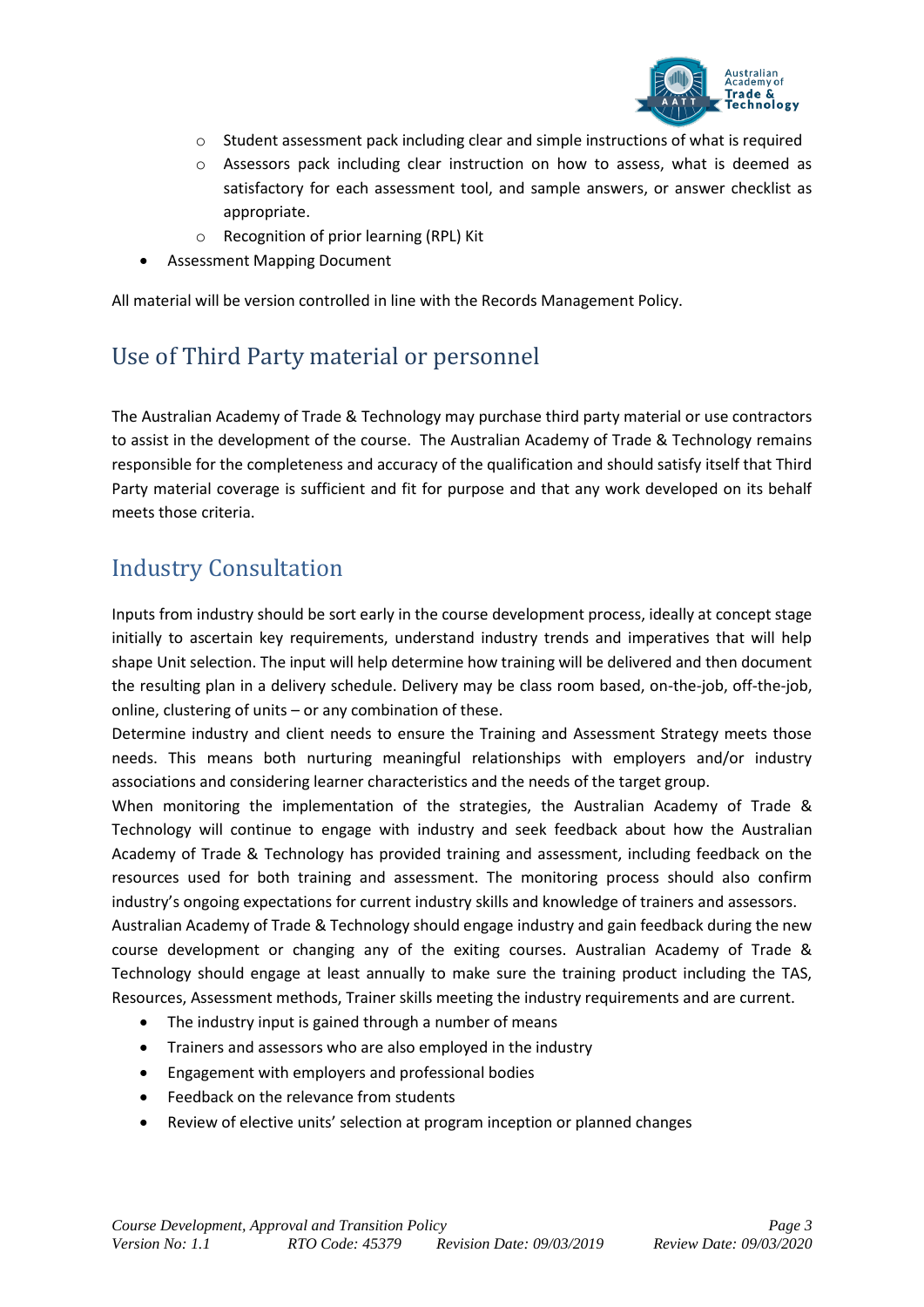

- o Student assessment pack including clear and simple instructions of what is required
- $\circ$  Assessors pack including clear instruction on how to assess, what is deemed as satisfactory for each assessment tool, and sample answers, or answer checklist as appropriate.
- o Recognition of prior learning (RPL) Kit
- Assessment Mapping Document

All material will be version controlled in line with the Records Management Policy.

#### Use of Third Party material or personnel

The Australian Academy of Trade & Technology may purchase third party material or use contractors to assist in the development of the course. The Australian Academy of Trade & Technology remains responsible for the completeness and accuracy of the qualification and should satisfy itself that Third Party material coverage is sufficient and fit for purpose and that any work developed on its behalf meets those criteria.

## Industry Consultation

Inputs from industry should be sort early in the course development process, ideally at concept stage initially to ascertain key requirements, understand industry trends and imperatives that will help shape Unit selection. The input will help determine how training will be delivered and then document the resulting plan in a delivery schedule. Delivery may be class room based, on-the-job, off-the-job, online, clustering of units – or any combination of these.

Determine industry and client needs to ensure the Training and Assessment Strategy meets those needs. This means both nurturing meaningful relationships with employers and/or industry associations and considering learner characteristics and the needs of the target group.

When monitoring the implementation of the strategies, the Australian Academy of Trade & Technology will continue to engage with industry and seek feedback about how the Australian Academy of Trade & Technology has provided training and assessment, including feedback on the resources used for both training and assessment. The monitoring process should also confirm industry's ongoing expectations for current industry skills and knowledge of trainers and assessors.

Australian Academy of Trade & Technology should engage industry and gain feedback during the new course development or changing any of the exiting courses. Australian Academy of Trade & Technology should engage at least annually to make sure the training product including the TAS, Resources, Assessment methods, Trainer skills meeting the industry requirements and are current.

- The industry input is gained through a number of means
- Trainers and assessors who are also employed in the industry
- Engagement with employers and professional bodies
- Feedback on the relevance from students
- Review of elective units' selection at program inception or planned changes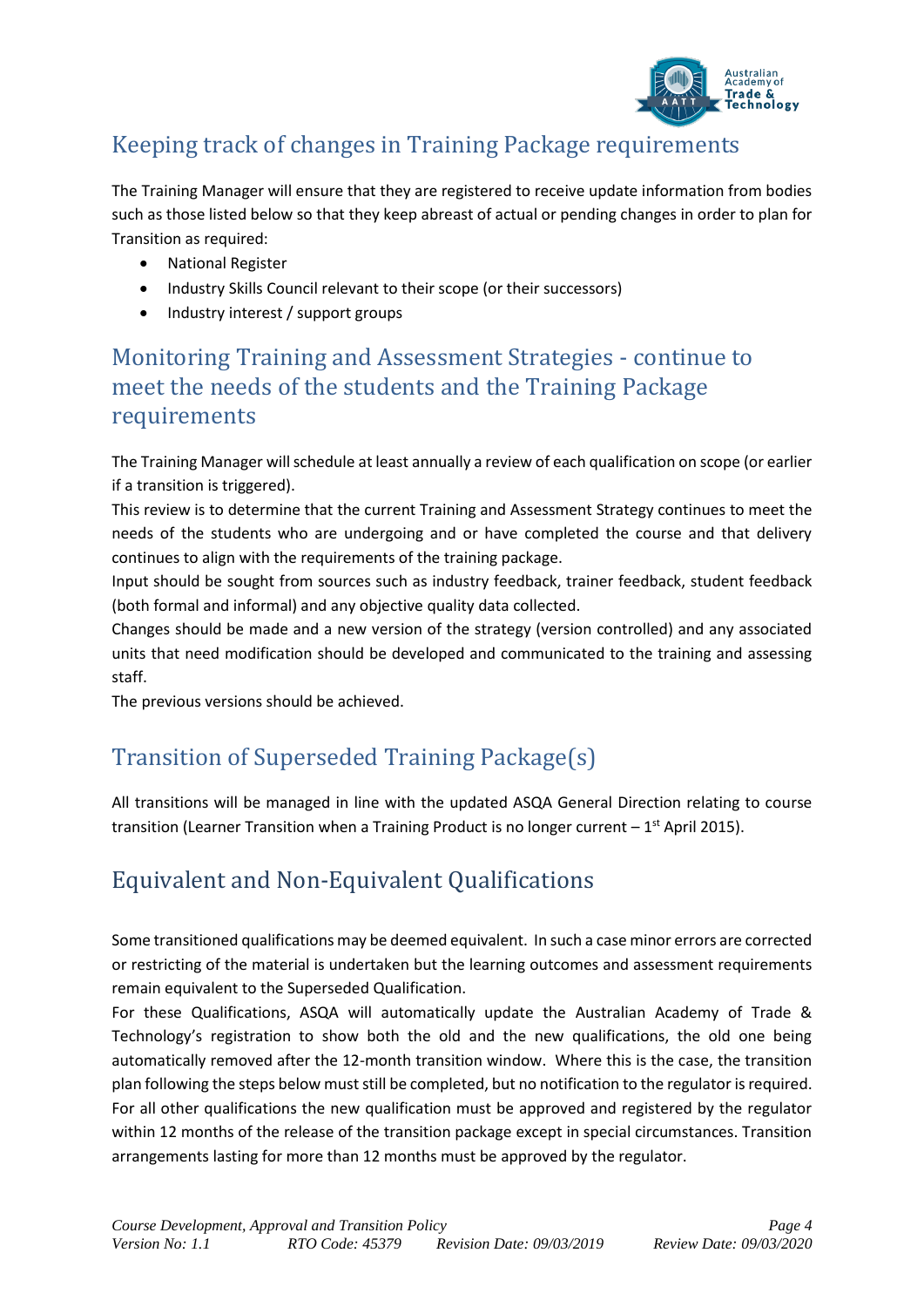

## Keeping track of changes in Training Package requirements

The Training Manager will ensure that they are registered to receive update information from bodies such as those listed below so that they keep abreast of actual or pending changes in order to plan for Transition as required:

- National Register
- Industry Skills Council relevant to their scope (or their successors)
- Industry interest / support groups

#### Monitoring Training and Assessment Strategies - continue to meet the needs of the students and the Training Package requirements

The Training Manager will schedule at least annually a review of each qualification on scope (or earlier if a transition is triggered).

This review is to determine that the current Training and Assessment Strategy continues to meet the needs of the students who are undergoing and or have completed the course and that delivery continues to align with the requirements of the training package.

Input should be sought from sources such as industry feedback, trainer feedback, student feedback (both formal and informal) and any objective quality data collected.

Changes should be made and a new version of the strategy (version controlled) and any associated units that need modification should be developed and communicated to the training and assessing staff.

The previous versions should be achieved.

# Transition of Superseded Training Package(s)

All transitions will be managed in line with the updated ASQA General Direction relating to course transition (Learner Transition when a Training Product is no longer current  $-1<sup>st</sup>$  April 2015).

# Equivalent and Non-Equivalent Qualifications

Some transitioned qualifications may be deemed equivalent. In such a case minor errors are corrected or restricting of the material is undertaken but the learning outcomes and assessment requirements remain equivalent to the Superseded Qualification.

For these Qualifications, ASQA will automatically update the Australian Academy of Trade & Technology's registration to show both the old and the new qualifications, the old one being automatically removed after the 12-month transition window. Where this is the case, the transition plan following the steps below must still be completed, but no notification to the regulator is required. For all other qualifications the new qualification must be approved and registered by the regulator within 12 months of the release of the transition package except in special circumstances. Transition arrangements lasting for more than 12 months must be approved by the regulator.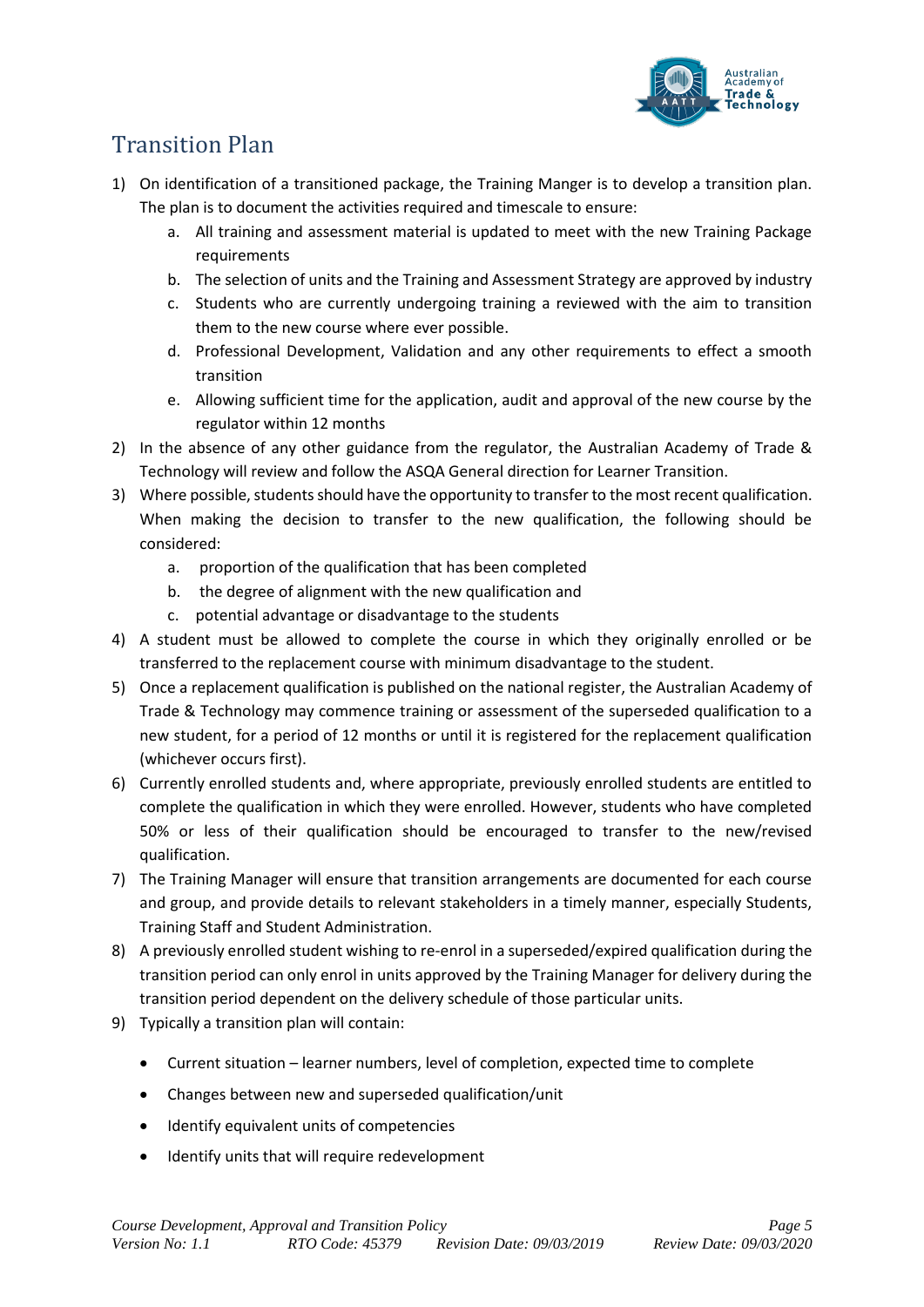

# Transition Plan

- 1) On identification of a transitioned package, the Training Manger is to develop a transition plan. The plan is to document the activities required and timescale to ensure:
	- a. All training and assessment material is updated to meet with the new Training Package requirements
	- b. The selection of units and the Training and Assessment Strategy are approved by industry
	- c. Students who are currently undergoing training a reviewed with the aim to transition them to the new course where ever possible.
	- d. Professional Development, Validation and any other requirements to effect a smooth transition
	- e. Allowing sufficient time for the application, audit and approval of the new course by the regulator within 12 months
- 2) In the absence of any other guidance from the regulator, the Australian Academy of Trade & Technology will review and follow the ASQA General direction for Learner Transition.
- 3) Where possible, students should have the opportunity to transfer to the most recent qualification. When making the decision to transfer to the new qualification, the following should be considered:
	- a. proportion of the qualification that has been completed
	- b. the degree of alignment with the new qualification and
	- c. potential advantage or disadvantage to the students
- 4) A student must be allowed to complete the course in which they originally enrolled or be transferred to the replacement course with minimum disadvantage to the student.
- 5) Once a replacement qualification is published on the national register, the Australian Academy of Trade & Technology may commence training or assessment of the superseded qualification to a new student, for a period of 12 months or until it is registered for the replacement qualification (whichever occurs first).
- 6) Currently enrolled students and, where appropriate, previously enrolled students are entitled to complete the qualification in which they were enrolled. However, students who have completed 50% or less of their qualification should be encouraged to transfer to the new/revised qualification.
- 7) The Training Manager will ensure that transition arrangements are documented for each course and group, and provide details to relevant stakeholders in a timely manner, especially Students, Training Staff and Student Administration.
- 8) A previously enrolled student wishing to re-enrol in a superseded/expired qualification during the transition period can only enrol in units approved by the Training Manager for delivery during the transition period dependent on the delivery schedule of those particular units.
- 9) Typically a transition plan will contain:
	- Current situation learner numbers, level of completion, expected time to complete
	- Changes between new and superseded qualification/unit
	- Identify equivalent units of competencies
	- Identify units that will require redevelopment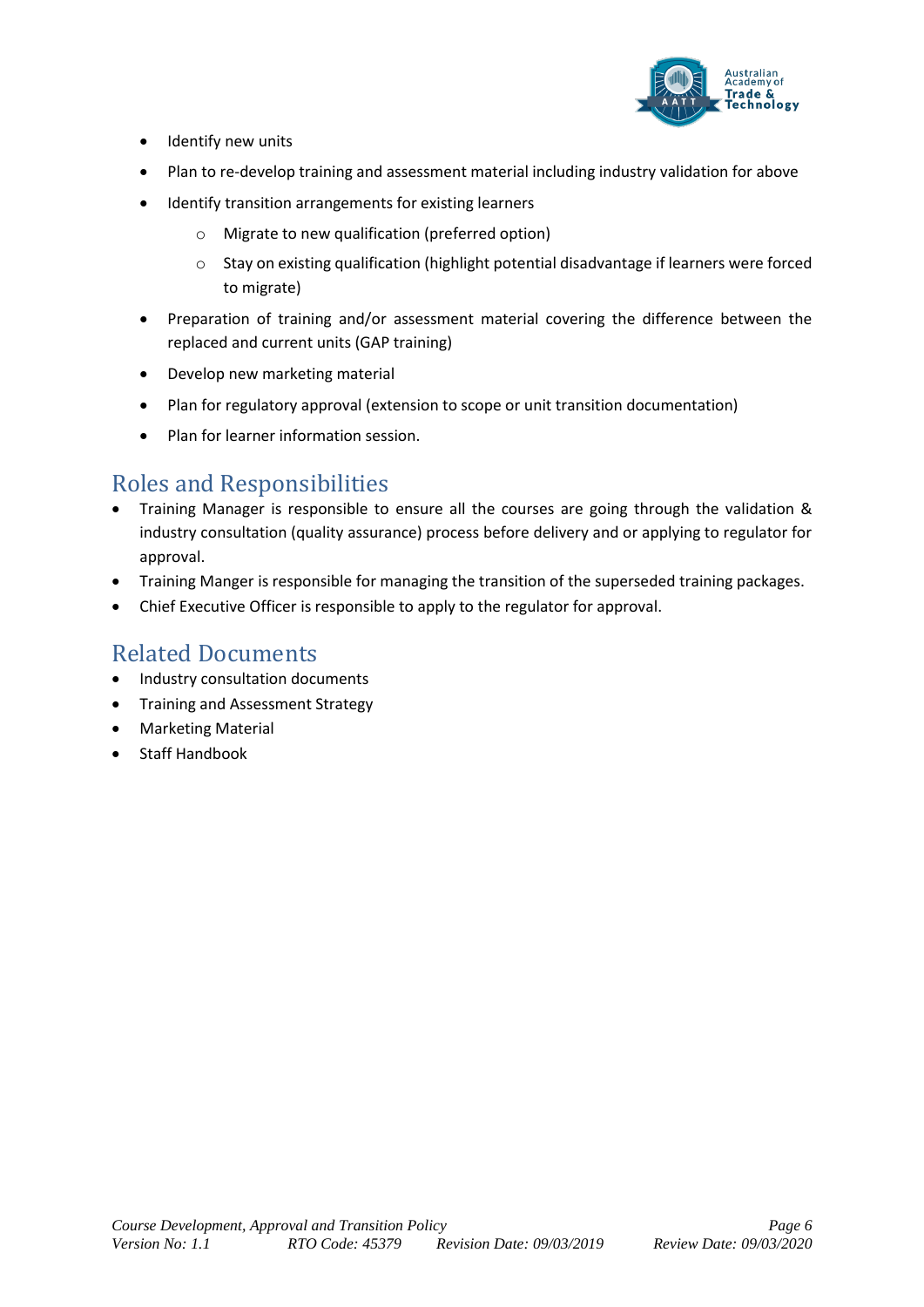

- Identify new units
- Plan to re-develop training and assessment material including industry validation for above
- Identify transition arrangements for existing learners
	- o Migrate to new qualification (preferred option)
	- o Stay on existing qualification (highlight potential disadvantage if learners were forced to migrate)
- Preparation of training and/or assessment material covering the difference between the replaced and current units (GAP training)
- Develop new marketing material
- Plan for regulatory approval (extension to scope or unit transition documentation)
- Plan for learner information session.

#### Roles and Responsibilities

- Training Manager is responsible to ensure all the courses are going through the validation & industry consultation (quality assurance) process before delivery and or applying to regulator for approval.
- Training Manger is responsible for managing the transition of the superseded training packages.
- Chief Executive Officer is responsible to apply to the regulator for approval.

#### Related Documents

- Industry consultation documents
- Training and Assessment Strategy
- Marketing Material
- Staff Handbook